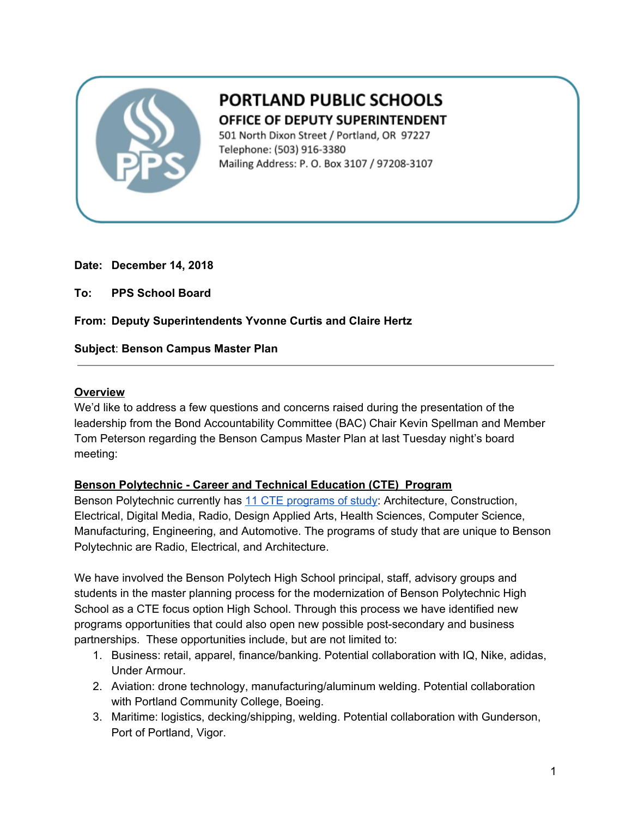

# **PORTLAND PUBLIC SCHOOLS** OFFICE OF DEPUTY SUPERINTENDENT

501 North Dixon Street / Portland, OR 97227 Telephone: (503) 916-3380 Mailing Address: P. O. Box 3107 / 97208-3107

#### **Date: December 14, 2018**

**To: PPS School Board**

**From: Deputy Superintendents Yvonne Curtis and Claire Hertz**

#### **Subject**: **Benson Campus Master Plan**

#### **Overview**

We'd like to address a few questions and concerns raised during the presentation of the leadership from the Bond Accountability Committee (BAC) Chair Kevin Spellman and Member Tom Peterson regarding the Benson Campus Master Plan at last Tuesday night's board meeting:

#### **Benson Polytechnic - Career and Technical Education (CTE) Program**

Benson Polytechnic currently has 11 CTE [programs](https://drive.google.com/drive/folders/1FGcPx5zoO36c4D2q7OLEJ9d5lLuDQLN2) of study: Architecture, Construction, Electrical, Digital Media, Radio, Design Applied Arts, Health Sciences, Computer Science, Manufacturing, Engineering, and Automotive. The programs of study that are unique to Benson Polytechnic are Radio, Electrical, and Architecture.

We have involved the Benson Polytech High School principal, staff, advisory groups and students in the master planning process for the modernization of Benson Polytechnic High School as a CTE focus option High School. Through this process we have identified new programs opportunities that could also open new possible post-secondary and business partnerships. These opportunities include, but are not limited to:

- 1. Business: retail, apparel, finance/banking. Potential collaboration with IQ, Nike, adidas, Under Armour.
- 2. Aviation: drone technology, manufacturing/aluminum welding. Potential collaboration with Portland Community College, Boeing.
- 3. Maritime: logistics, decking/shipping, welding. Potential collaboration with Gunderson, Port of Portland, Vigor.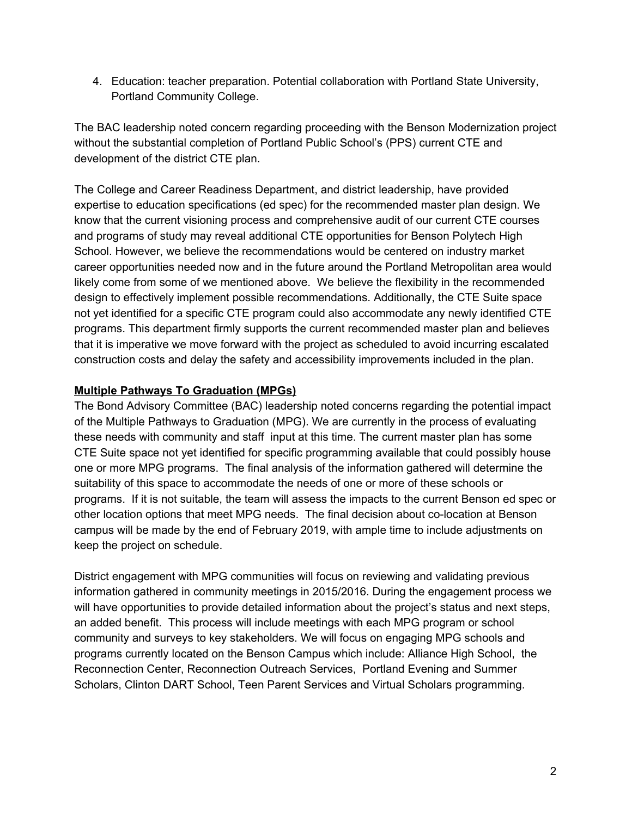4. Education: teacher preparation. Potential collaboration with Portland State University, Portland Community College.

The BAC leadership noted concern regarding proceeding with the Benson Modernization project without the substantial completion of Portland Public School's (PPS) current CTE and development of the district CTE plan.

The College and Career Readiness Department, and district leadership, have provided expertise to education specifications (ed spec) for the recommended master plan design. We know that the current visioning process and comprehensive audit of our current CTE courses and programs of study may reveal additional CTE opportunities for Benson Polytech High School. However, we believe the recommendations would be centered on industry market career opportunities needed now and in the future around the Portland Metropolitan area would likely come from some of we mentioned above. We believe the flexibility in the recommended design to effectively implement possible recommendations. Additionally, the CTE Suite space not yet identified for a specific CTE program could also accommodate any newly identified CTE programs. This department firmly supports the current recommended master plan and believes that it is imperative we move forward with the project as scheduled to avoid incurring escalated construction costs and delay the safety and accessibility improvements included in the plan.

## **Multiple Pathways To Graduation (MPGs)**

The Bond Advisory Committee (BAC) leadership noted concerns regarding the potential impact of the Multiple Pathways to Graduation (MPG). We are currently in the process of evaluating these needs with community and staff input at this time. The current master plan has some CTE Suite space not yet identified for specific programming available that could possibly house one or more MPG programs. The final analysis of the information gathered will determine the suitability of this space to accommodate the needs of one or more of these schools or programs. If it is not suitable, the team will assess the impacts to the current Benson ed spec or other location options that meet MPG needs. The final decision about co-location at Benson campus will be made by the end of February 2019, with ample time to include adjustments on keep the project on schedule.

District engagement with MPG communities will focus on reviewing and validating previous information gathered in community meetings in 2015/2016. During the engagement process we will have opportunities to provide detailed information about the project's status and next steps, an added benefit. This process will include meetings with each MPG program or school community and surveys to key stakeholders. We will focus on engaging MPG schools and programs currently located on the Benson Campus which include: Alliance High School, the Reconnection Center, Reconnection Outreach Services, Portland Evening and Summer Scholars, Clinton DART School, Teen Parent Services and Virtual Scholars programming.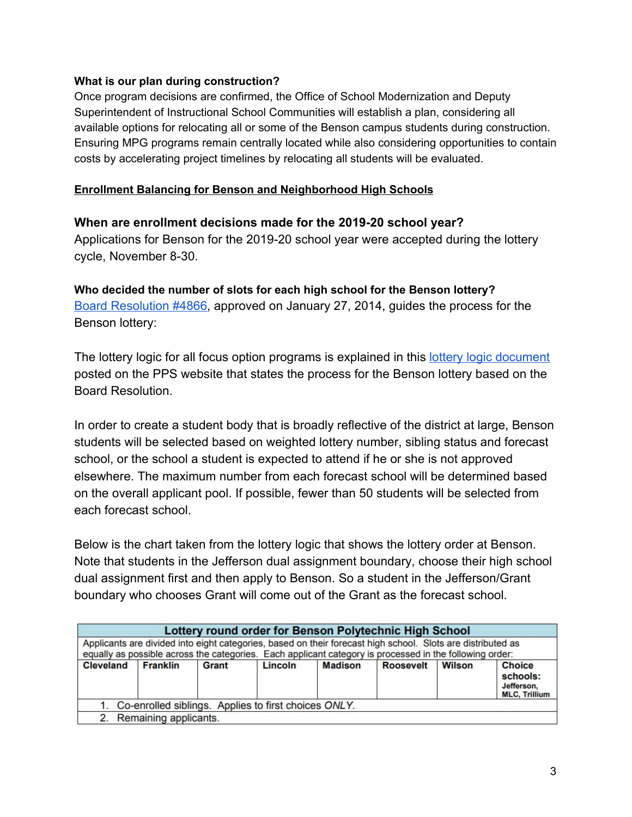#### **What is our plan during construction?**

Once program decisions are confirmed, the Office of School Modernization and Deputy Superintendent of Instructional School Communities will establish a plan, considering all available options for relocating all or some of the Benson campus students during construction. Ensuring MPG programs remain centrally located while also considering opportunities to contain costs by accelerating project timelines by relocating all students will be evaluated.

#### **Enrollment Balancing for Benson and Neighborhood High Schools**

#### **When are enrollment decisions made for the 2019-20 school year?**

Applications for Benson for the 2019-20 school year were accepted during the lottery cycle, November 8-30.

**Who decided the number of slots for each high school for the Benson lottery?** [Board Resolution #4866,](https://drive.google.com/file/d/1SZe87g5n4-7zRRJR7ZiK7Pk5EQgpJdiZ/view?usp=sharing) approved on January 27, 2014, guides the process for the Benson lottery:

The lottery logic for all focus option programs is explained in this [lottery logic document](https://www.pps.net/cms/lib/OR01913224/Centricity/domain/182/transfer/19-20%20transfer/Lottery_Logic_19_20.pdf) posted on the PPS website that states the process for the Benson lottery based on the Board Resolution.

In order to create a student body that is broadly reflective of the district at large, Benson students will be selected based on weighted lottery number, sibling status and forecast school, or the school a student is expected to attend if he or she is not approved elsewhere. The maximum number from each forecast school will be determined based on the overall applicant pool. If possible, fewer than 50 students will be selected from each forecast school.

Below is the chart taken from the lottery logic that shows the lottery order at Benson. Note that students in the Jefferson dual assignment boundary, choose their high school dual assignment first and then apply to Benson. So a student in the Jefferson/Grant boundary who chooses Grant will come out of the Grant as the forecast school.

| Lottery round order for Benson Polytechnic High School                                                                                                                                                                 |                 |       |         |                |                  |               |                                                                 |
|------------------------------------------------------------------------------------------------------------------------------------------------------------------------------------------------------------------------|-----------------|-------|---------|----------------|------------------|---------------|-----------------------------------------------------------------|
| Applicants are divided into eight categories, based on their forecast high school. Slots are distributed as<br>equally as possible across the categories. Each applicant category is processed in the following order: |                 |       |         |                |                  |               |                                                                 |
| <b>Cleveland</b>                                                                                                                                                                                                       | <b>Franklin</b> | Grant | Lincoln | <b>Madison</b> | <b>Roosevelt</b> | <b>Wilson</b> | <b>Choice</b><br>schools:<br>Jefferson,<br><b>MLC, Trillium</b> |
| 1. Co-enrolled siblings. Applies to first choices ONLY.                                                                                                                                                                |                 |       |         |                |                  |               |                                                                 |
| 2. Remaining applicants.                                                                                                                                                                                               |                 |       |         |                |                  |               |                                                                 |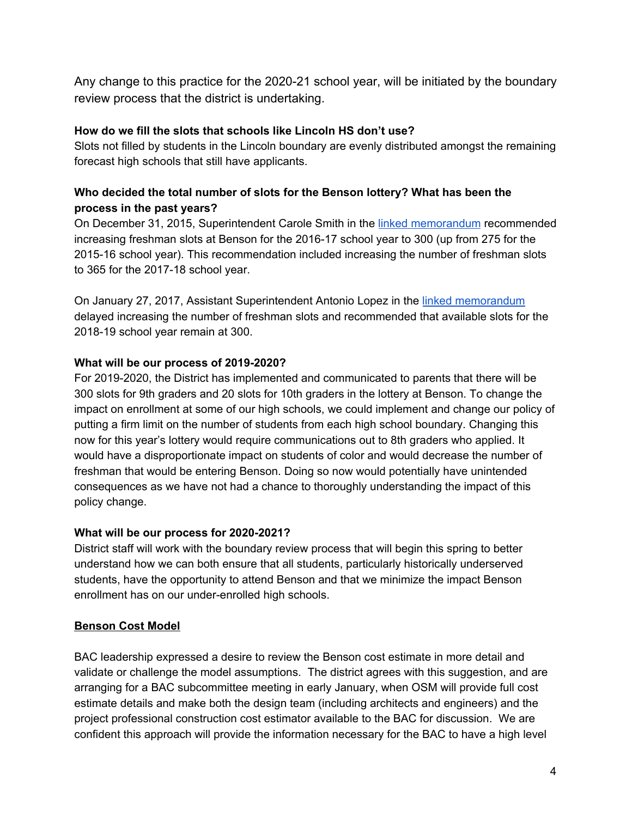Any change to this practice for the 2020-21 school year, will be initiated by the boundary review process that the district is undertaking.

### **How do we fill the slots that schools like Lincoln HS don't use?**

Slots not filled by students in the Lincoln boundary are evenly distributed amongst the remaining forecast high schools that still have applicants.

## **Who decided the total number of slots for the Benson lottery? What has been the process in the past years?**

On December 31, 2015, Superintendent Carole Smith in the linked [memorandum](https://drive.google.com/file/d/15n7lxGGZd9NbyqjZ2R1mKWr2wEYYLX1E/view?usp=sharing) recommended increasing freshman slots at Benson for the 2016-17 school year to 300 (up from 275 for the 2015-16 school year). This recommendation included increasing the number of freshman slots to 365 for the 2017-18 school year.

On January 27, 2017, Assistant Superintendent Antonio Lopez in the linked [memorandum](https://drive.google.com/file/d/1ZDe9BBK_yyvQuAImKa2ZqjR4w4kt9S01/view?usp=sharing) delayed increasing the number of freshman slots and recommended that available slots for the 2018-19 school year remain at 300.

## **What will be our process of 2019-2020?**

For 2019-2020, the District has implemented and communicated to parents that there will be 300 slots for 9th graders and 20 slots for 10th graders in the lottery at Benson. To change the impact on enrollment at some of our high schools, we could implement and change our policy of putting a firm limit on the number of students from each high school boundary. Changing this now for this year's lottery would require communications out to 8th graders who applied. It would have a disproportionate impact on students of color and would decrease the number of freshman that would be entering Benson. Doing so now would potentially have unintended consequences as we have not had a chance to thoroughly understanding the impact of this policy change.

#### **What will be our process for 2020-2021?**

District staff will work with the boundary review process that will begin this spring to better understand how we can both ensure that all students, particularly historically underserved students, have the opportunity to attend Benson and that we minimize the impact Benson enrollment has on our under-enrolled high schools.

## **Benson Cost Model**

BAC leadership expressed a desire to review the Benson cost estimate in more detail and validate or challenge the model assumptions. The district agrees with this suggestion, and are arranging for a BAC subcommittee meeting in early January, when OSM will provide full cost estimate details and make both the design team (including architects and engineers) and the project professional construction cost estimator available to the BAC for discussion. We are confident this approach will provide the information necessary for the BAC to have a high level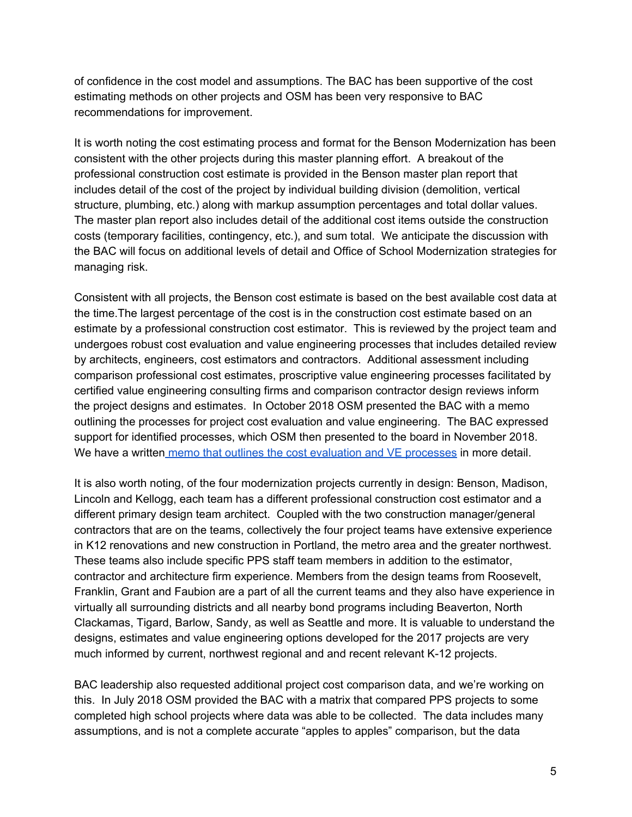of confidence in the cost model and assumptions. The BAC has been supportive of the cost estimating methods on other projects and OSM has been very responsive to BAC recommendations for improvement.

It is worth noting the cost estimating process and format for the Benson Modernization has been consistent with the other projects during this master planning effort. A breakout of the professional construction cost estimate is provided in the Benson master plan report that includes detail of the cost of the project by individual building division (demolition, vertical structure, plumbing, etc.) along with markup assumption percentages and total dollar values. The master plan report also includes detail of the additional cost items outside the construction costs (temporary facilities, contingency, etc.), and sum total. We anticipate the discussion with the BAC will focus on additional levels of detail and Office of School Modernization strategies for managing risk.

Consistent with all projects, the Benson cost estimate is based on the best available cost data at the time.The largest percentage of the cost is in the construction cost estimate based on an estimate by a professional construction cost estimator. This is reviewed by the project team and undergoes robust cost evaluation and value engineering processes that includes detailed review by architects, engineers, cost estimators and contractors. Additional assessment including comparison professional cost estimates, proscriptive value engineering processes facilitated by certified value engineering consulting firms and comparison contractor design reviews inform the project designs and estimates. In October 2018 OSM presented the BAC with a memo outlining the processes for project cost evaluation and value engineering. The BAC expressed support for identified processes, which OSM then presented to the board in November 2018. We have a written memo that outlines the cost [evaluation](https://drive.google.com/file/d/19XPTW7J7DZGxDTrdZpe3x2dPyXu3_QxH/view?usp=sharing) and VE processes in more detail.

It is also worth noting, of the four modernization projects currently in design: Benson, Madison, Lincoln and Kellogg, each team has a different professional construction cost estimator and a different primary design team architect. Coupled with the two construction manager/general contractors that are on the teams, collectively the four project teams have extensive experience in K12 renovations and new construction in Portland, the metro area and the greater northwest. These teams also include specific PPS staff team members in addition to the estimator, contractor and architecture firm experience. Members from the design teams from Roosevelt, Franklin, Grant and Faubion are a part of all the current teams and they also have experience in virtually all surrounding districts and all nearby bond programs including Beaverton, North Clackamas, Tigard, Barlow, Sandy, as well as Seattle and more. It is valuable to understand the designs, estimates and value engineering options developed for the 2017 projects are very much informed by current, northwest regional and and recent relevant K-12 projects.

BAC leadership also requested additional project cost comparison data, and we're working on this. In July 2018 OSM provided the BAC with a matrix that compared PPS projects to some completed high school projects where data was able to be collected. The data includes many assumptions, and is not a complete accurate "apples to apples" comparison, but the data